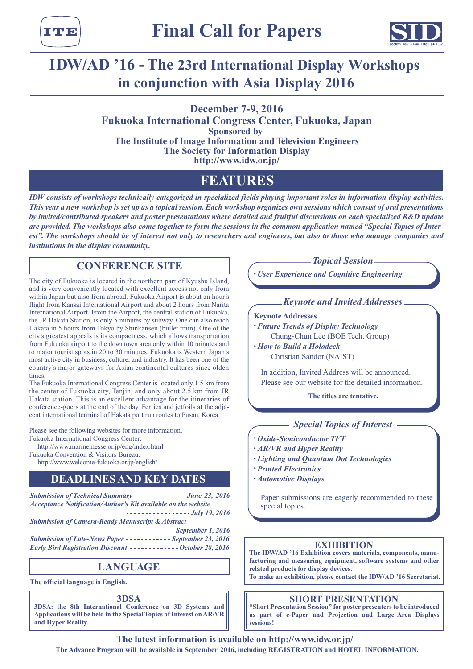тте



# **IDW/AD '16 - The 23rd International Display Workshops in conjunction with Asia Display 2016**

### **December 7-9, 2016**

**Fukuoka International Congress Center, Fukuoka, Japan Sponsored by The Institute of Image Information and Television Engineers The Society for Information Display http://www.idw.or.jp/**

# **FEATURES**

*IDW consists of workshops technically categorized in specialized fields playing important roles in information display activities. This year a new workshop is set up as a topical session. Each workshop organizes own sessions which consist of oral presentations by invited/contributed speakers and poster presentations where detailed and fruitful discussions on each specialized R&D update are provided. The workshops also come together to form the sessions in the common application named "Special Topics of Inter*est". The workshops should be of interest not only to researchers and engineers, but also to those who manage companies and *institutions in the display community.*

## **CONFERENCE SITE**

The city of Fukuoka is located in the northern part of Kyushu Island, and is very conveniently located with excellent access not only from within Japan but also from abroad. Fukuoka Airport is about an hour's flight from Kansai International Airport and about 2 hours from Narita International Airport. From the Airport, the central station of Fukuoka, the JR Hakata Station, is only 5 minutes by subway. One can also reach Hakata in 5 hours from Tokyo by Shinkansen (bullet train). One of the city's greatest appeals is its compactness, which allows transportation from Fukuoka airport to the downtown area only within 10 minutes and to major tourist spots in 20 to 30 minutes. Fukuoka is Western Japan's most active city in business, culture, and industry. It has been one of the country's major gateways for Asian continental cultures since olden times.

The Fukuoka International Congress Center is located only 1.5 km from the center of Fukuoka city, Tenjin, and only about 2.5 km from JR Hakata station. This is an excellent advantage for the itineraries of conference-goers at the end of the day. Ferries and jetfoils at the adjacent international terminal of Hakata port run routes to Pusan, Korea.

Please see the following websites for more information. Fukuoka International Congress Center: http://www.marinemesse.or.jp/eng/index.html

Fukuoka Convention & Visitors Bureau: http://www.welcome-fukuoka.or.jp/english/

## **DEADLINES AND KEY DATES**

**Submission of Technical Summary - - - - - - - - - - - - - June 23, 2016** *Acceptance Notification/Author's Kit available on the website*

*July 19, 2016 Submission of Camera-Ready Manuscript & Abstract*

*September 1, 2016* **Submission of Late-News Paper ----------- September 23, 2016** *Early Bird Registration Discount ------------- October 28, 2016* 

## **LANGUAGE**

**The official language is English.**

**3DSA**

**3DSA: the 8th International Conference on 3D Systems and Applications will be held in the Special Topics of Interest on AR/VR and Hyper Reality.**

*Topical Session*

*• User Experience and Cognitive Engineering*

### *Keynote and Invited Addresses*

### **Keynote Addresses**

- *• Future Trends of Display Technology* Chung-Chun Lee (BOE Tech. Group)
- *• How to Build a Holodeck* Christian Sandor (NAIST)

In addition, Invited Address will be announced. Please see our website for the detailed information.

**The titles are tentative.**

### *Special Topics of Interest*

*• Oxide-Semiconductor TFT*

- *• AR/VR and Hyper Reality*
- *• Lighting and Quantum Dot Technologies*
- *• Printed Electronics*
- *• Automotive Displays*

Paper submissions are eagerly recommended to these special topics.

### **EXHIBITION**

**The IDW/AD '16 Exhibition covers materials, components, manufacturing and measuring equipment, software systems and other related products for display devices.**

**To make an exhibition, please contact the IDW/AD '16 Secretariat.**

### **SHORT PRESENTATION**

**"Short Presentation Session" for poster presenters to be introduced as part of e-Paper and Projection and Large Area Displays sessions!**

**The latest information is available on http://www.idw.or.jp/ The Advance Program will be available in September 2016, including REGISTRATION and HOTEL INFORMATION.**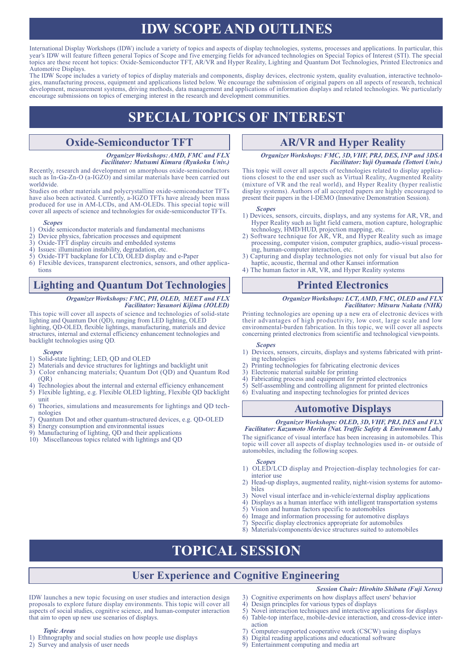# **IDW SCOPE AND OUTLINES**

International Display Workshops (IDW) include a variety of topics and aspects of display technologies, systems, processes and applications. In particular, this year's IDW will feature fifteen general Topics of Scope and five emerging fields for advanced technologies on Special Topics of Interest (STI). The special topics are these recent hot topics: Oxide-Semiconductor TFT, AR/VR and Hyper Reality, Lighting and Quantum Dot Technologies, Printed Electronics and Automotive Displays.

The IDW Scope includes a variety of topics of display materials and components, display devices, electronic system, quality evaluation, interactive technologies, manufacturing process, equipment and applications listed below. We encourage the submission of original papers on all aspects of research, technical development, measurement systems, driving methods, data management and applications of information displays and related technologies. We particularly encourage submissions on topics of emerging interest in the research and development communities.

# **SPECIAL TOPICS OF INTEREST**

### **Oxide-Semiconductor TFT**

#### *Organizer Workshops: AMD, FMC and FLX Facilitator: Mutsumi Kimura (Ryukoku Univ.)*

Recently, research and development on amorphous oxide-semiconductors such as In-Ga-Zn-O (a-IGZO) and similar materials have been carried out worldwide.

Studies on other materials and polycrystalline oxide-semiconductor TFTs have also been activated. Currently, a-IGZO TFTs have already been mass produced for use in AM-LCDs, and AM-OLEDs. This special topic will cover all aspects of science and technologies for oxide-semiconductor TFTs.

#### *Scopes*

- 1) Oxide semiconductor materials and fundamental mechanisms<br>2) Device physics fabrication processes and equipment
- 2) Device physics, fabrication processes and equipment 3) Oxide-TFT display circuits and embedded systems
- $3)$  Oxide-TFT display circuits and embedded systems  $4)$  Issues: illumination instability degradation, etc.
- 4) Issues: illumination instability, degradation, etc.<br>5) Oxide-TFT backplane for LCD, OLED display
- 5) Oxide-TFT backplane for LCD, OLED display and e-Paper
- Flexible devices, transparent electronics, sensors, and other applications

## **Lighting and Quantum Dot Technologies**

#### *Organizer Workshops: FMC, PH, OLED, MEET and FLX Facilitator: Yasunori Kijima (JOLED)*

This topic will cover all aspects of science and technologies of solid-state lighting and Quantum Dot (QD), ranging from LED lighting, OLED lighting, QD-OLED, flexible lightings, manufacturing, materials and device structures, internal and external efficiency enhancement technologies and backlight technologies using QD.

#### *Scopes*

- Solid-state lighting; LED, QD and OLED
- 2) Materials and device structures for lightings and backlight unit 3) Color enhancing materials: Quantum Dot (OD) and Quantu
- 3) Color enhancing materials; Quantum Dot (QD) and Quantum Rod  $(OR)$
- 4) Technologies about the internal and external efficiency enhancement
- 5) Flexible lighting, e.g. Flexible OLED lighting, Flexible QD backlight unit
- 6) Theories, simulations and measurements for lightings and QD tech- nologies
- 7) Quantum Dot and other quantum-structured devices, e.g. QD-OLED
- Energy consumption and environmental issues
- 9) Manufacturing of lighting, QD and their applications
- 10) Miscellaneous topics related with lightings and QD

## **AR/VR and Hyper Reality**

*Organizer Workshops: FMC, 3D, VHF, PRJ, DES, INP and 3DSA Facilitator: Yuji Oyamada (Tottori Univ.)*

This topic will cover all aspects of technologies related to display applications closest to the end user such as Virtual Reality, Augmented Reality (mixture of VR and the real world), and Hyper Reality (hyper realistic display systems). Authors of all accepted papers are highly encouraged to present their papers in the I-DEMO (Innovative Demonstration Session).

#### *Scopes*

- 1) Devices, sensors, circuits, displays, and any systems for AR, VR, and Hyper Reality such as light field camera, motion capture, holographic technology, HMD/HUD, projection mapping, etc.
- 2) Software technique for AR, VR, and Hyper Reality such as image processing, computer vision, computer graphics, audio-visual processing, human-computer interaction, etc.
- 3) Capturing and display technologies not only for visual but also for haptic, acoustic, thermal and other Kansei information
- 4) The human factor in AR, VR, and Hyper Reality systems

## **Printed Electronics**

#### *Organizer Workshops: LCT, AMD, FMC, OLED and FLX Facilitator: Mitsuru Nakata (NHK)*

Printing technologies are opening up a new era of electronic devices with their advantages of high productivity, low cost, large scale and low environmental-burden fabrication. In this topic, we will cover all aspects concerning printed electronics from scientific and technological viewpoints.

#### *Scopes*

- 1) Devices, sensors, circuits, displays and systems fabricated with printing technologies
- 2) Printing technologies for fabricating electronic devices
- 3) Electronic material suitable for printing
- 4) Fabricating process and equipment for printed electronics
- 5) Self-assembling and controlling alignment for printed electronics
- 6) Evaluating and inspecting technologies for printed devices

## **Automotive Displays**

### *Organizer Workshops: OLED, 3D, VHF, PRJ, DES and FLX*

*Facilitator: Kazumoto Morita (Nat. Traffic Safety & Environment Lab.)* The significance of visual interface has been increasing in automobiles. This topic will cover all aspects of display technologies used in- or outside of automobiles, including the following scopes.

#### *Scopes*

- 1) OLED/LCD display and Projection-display technologies for car- interior use
- 2) Head-up displays, augmented reality, night-vision systems for automo- biles
- 3) Novel visual interface and in-vehicle/external display applications
- 4) Displays as a human interface with intelligent transportation systems
- 5) Vision and human factors specific to automobiles
- 6) Image and information processing for automotive displays
- 7) Specific display electronics appropriate for automobiles 8) Materials/components/device structures suited to automobiles

# **TOPICAL SESSION**

## **User Experience and Cognitive Engineering**

#### *Session Chair: Hirohito Shibata (Fuji Xerox)*

- 3) Cognitive experiments on how displays affect users' behavior
- 4) Design principles for various types of displays<br>5) Novel interaction techniques and interactive ap
- Novel interaction techniques and interactive applications for displays 6) Table-top interface, mobile-device interaction, and cross-device inter-
- action
- 7) Computer-supported cooperative work (CSCW) using displays
- *Topic Areas* 1) Ethnography and social studies on how people use displays

IDW launches a new topic focusing on user studies and interaction design proposals to explore future display environments. This topic will cover all aspects of social studies, cognitive science, and human-computer interaction

2) Survey and analysis of user needs

that aim to open up new use scenarios of displays.

- Digital reading applications and educational software
- 9) Entertainment computing and media art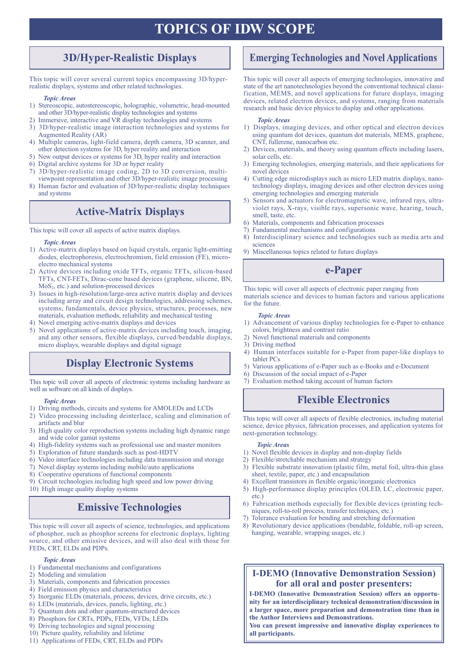# **TOPICS OF IDW SCOPE**

## **3D/Hyper-Realistic Displays**

This topic will cover several current topics encompassing 3D/hyperrealistic displays, systems and other related technologies.

#### *Topic Areas*

- 1) Stereoscopic, autostereoscopic, holographic, volumetric, head-mounted and other 3D/hyper-realistic display technologies and systems
- 2) Immersive, interactive and VR display technologies and systems
- 3) 3D/hyper-realistic image interaction technologies and systems for Augmented Reality (AR)
- 4) Multiple cameras, light-field camera, depth camera, 3D scanner, and other detection systems for 3D, hyper reality and interaction
- 5) New output devices or systems for 3D, hyper reality and interaction
- 6) Digital archive systems for 3D or hyper reality
- 7) 3D/hyper-realistic image coding, 2D to 3D conversion, multiviewpoint representation and other 3D/hyper-realistic image processing
- 8) Human factor and evaluation of 3D/hyper-realistic display techniques and systems

## **Active-Matrix Displays**

This topic will cover all aspects of active matrix displays.

#### *Topic Areas*

- 1) Active-matrix displays based on liquid crystals, organic light-emitting diodes, electrophoresis, electrochromism, field emission (FE), microelectro mechanical systems
- 2) Active devices including oxide TFTs, organic TFTs, silicon-based TFTs, CNT-FETs, Dirac-cone based devices (graphene, silicene, BN, MoS2, etc.) and solution-processed devices
- 3) Issues in high-resolution/large-area active matrix display and devices including array and circuit design technologies, addressing schemes, systems, fundamentals, device physics, structures, processes, new materials, evaluation methods, reliability and mechanical testing
- 4) Novel emerging active-matrix displays and devices
- 5) Novel applications of active-matrix devices including touch, imaging, and any other sensors, flexible displays, curved/bendable displays, micro displays, wearable displays and digital signage

## **Display Electronic Systems**

This topic will cover all aspects of electronic systems including hardware as 7) Evaluation method taking account of human factors well as software on all kinds of displays.

#### *Topic Areas*

- 1) Driving methods, circuits and systems for AMOLEDs and LCDs
- 2) Video processing including deinterlace, scaling and elimination of artifacts and blur
- 3) High quality color reproduction systems including high dynamic range and wide color gamut systems
- 4) High-fidelity systems such as professional use and master monitors
- 5) Exploration of future standards such as post-HDTV
- 6) Video interface technologies including data transmission and storage
- 7) Novel display systems including mobile/auto applications
- 8) Cooperative operations of functional components

9) Circuit technologies including high speed and low power driving 10) High image quality display systems

## **Emissive Technologies**

This topic will cover all aspects of science, technologies, and applications of phosphor, such as phosphor screens for electronic displays, lighting source, and other emissive devices, and will also deal with those for FEDs, CRT, ELDs and PDPs.

#### *Topic Areas*

- 1) Fundamental mechanisms and configurations
- 2) Modeling and simulation
- 3) Materials, components and fabrication processes
- 4) Field emission physics and characteristics
- 5) Inorganic ELDs (materials, process, devices, drive circuits, etc.)
- 6) LEDs (materials, devices, panels, lighting, etc.)
- 7) Quantum dots and other quantum-structured devices
- 8) Phosphors for CRTs, PDPs, FEDs, VFDs, LEDs
- 9) Driving technologies and signal processing
- 10) Picture quality, reliability and lifetime
- 11) Applications of FEDs, CRT, ELDs and PDPs

## **Emerging Technologies and Novel Applications**

This topic will cover all aspects of emerging technologies, innovative and state of the art nanotechnologies beyond the conventional technical classification, MEMS, and novel applications for future displays, imaging devices, related electron devices, and systems, ranging from materials research and basic device physics to display and other applications.

#### *Topic Areas*

- 1) Displays, imaging devices, and other optical and electron devices using quantum dot devices, quantum dot materials, MEMS, graphene, CNT, fullerene, nanocarbon etc.
- 2) Devices, materials, and theory using quantum effects including lasers, solar cells, etc.
- 3) Emerging technologies, emerging materials, and their applications for novel devices
- 4) Cutting edge microdisplays such as micro LED matrix displays, nanotechnology displays, imaging devices and other electron devices using emerging technologies and emerging materials
- 5) Sensors and actuators for electromagnetic wave, infrared rays, ultraviolet rays, X-rays, visible rays, supersonic wave, hearing, touch, smell, taste, etc.
- 6) Materials, components and fabrication processes
- 7) Fundamental mechanisms and configurations
- 8) Interdisciplinary science and technologies such as media arts and sciences
- 9) Miscellaneous topics related to future displays

## **e-Paper**

This topic will cover all aspects of electronic paper ranging from materials science and devices to human factors and various applications for the future.

#### *Topic Areas*

- 1) Advancement of various display technologies for e-Paper to enhance colors, brightness and contrast ratio
- 2) Novel functional materials and components
- 3) Driving method
- 4) Human interfaces suitable for e-Paper from paper-like displays to tablet PCs
- 5) Various applications of e-Paper such as e-Books and e-Document
- 6) Discussion of the social impact of e-Paper
- 

## **Flexible Electronics**

This topic will cover all aspects of flexible electronics, including material science, device physics, fabrication processes, and application systems for next-generation technology.

#### *Topic Areas*

- 1) Novel flexible devices in display and non-display fields
- 2) Flexible/stretchable mechanism and strategy
- 3) Flexible substrate innovation (plastic film, metal foil, ultra-thin glass sheet, textile, paper, etc.) and encapsulation
- 4) Excellent transistors in flexible organic/inorganic electronics
- 5) High-performance display principles (OLED, LC, electronic paper, etc.)
- 6) Fabrication methods especially for flexible devices (printing techniques, roll-to-roll process, transfer techniques, etc.)
- 7) Tolerance evaluation for bending and stretching deformation
- 8) Revolutionary device applications (bendable, foldable, roll-up screen, hanging, wearable, wrapping usages, etc.)

### **I-DEMO (Innovative Demonstration Session) for all oral and poster presenters:**

**I-DEMO (Innovative Demonstration Session) offers an opportunity for an interdisciplinary technical demonstration/discussion in a larger space, more preparation and demonstration time than in the Author Interviews and Demonstrations.**

**You can present impressive and innovative display experiences to all participants.**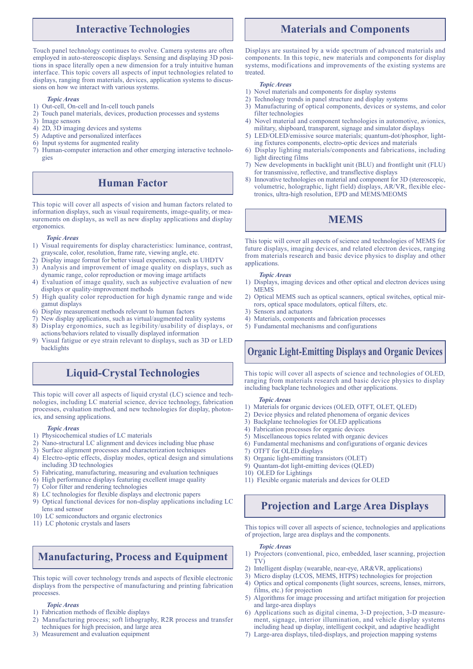### **Interactive Technologies**

Touch panel technology continues to evolve. Camera systems are often employed in auto-stereoscopic displays. Sensing and displaying 3D positions in space literally open a new dimension for a truly intuitive human interface. This topic covers all aspects of input technologies related to displays, ranging from materials, devices, application systems to discussions on how we interact with various systems.

#### *Topic Areas*

- 1) Out-cell, On-cell and In-cell touch panels
- 2) Touch panel materials, devices, production processes and systems
- 3) Image sensors
- 4) 2D, 3D imaging devices and systems
- 5) Adaptive and personalized interfaces
- 6) Input systems for augmented reality
- 7) Human-computer interaction and other emerging interactive technologies

### **Human Factor**

This topic will cover all aspects of vision and human factors related to information displays, such as visual requirements, image-quality, or measurements on displays, as well as new display applications and display ergonomics.

#### *Topic Areas*

- 1) Visual requirements for display characteristics: luminance, contrast, grayscale, color, resolution, frame rate, viewing angle, etc.
- 2) Display image format for better visual experience, such as UHDTV
- 3) Analysis and improvement of image quality on displays, such as dynamic range, color reproduction or moving image artifacts
- 4) Evaluation of image quality, such as subjective evaluation of new displays or quality-improvement methods
- 5) High quality color reproduction for high dynamic range and wide gamut displays
- 6) Display measurement methods relevant to human factors
- 7) New display applications, such as virtual/augmented reality systems 8) Display ergonomics, such as legibility/usability of displays, or
- actions/behaviors related to visually displayed information
- 9) Visual fatigue or eye strain relevant to displays, such as 3D or LED backlights

## **Liquid-Crystal Technologies**

This topic will cover all aspects of liquid crystal (LC) science and technologies, including LC material science, device technology, fabrication processes, evaluation method, and new technologies for display, photonics, and sensing applications.

#### *Topic Areas*

- 1) Physicochemical studies of LC materials
- 2) Nano-structural LC alignment and devices including blue phase
- 3) Surface alignment processes and characterization techniques
- 4) Electro-optic effects, display modes, optical design and simulations including 3D technologies
- 5) Fabricating, manufacturing, measuring and evaluation techniques
- 6) High performance displays featuring excellent image quality
- 7) Color filter and rendering technologies
- 8) LC technologies for flexible displays and electronic papers
- 9) Optical functional devices for non-display applications including LC lens and sensor
- 10) LC semiconductors and organic electronics
- 11) LC photonic crystals and lasers

## **Manufacturing, Process and Equipment**

This topic will cover technology trends and aspects of flexible electronic displays from the perspective of manufacturing and printing fabrication processes.

#### *Topic Areas*

- 1) Fabrication methods of flexible displays
- 2) Manufacturing process; soft lithography, R2R process and transfer techniques for high precision, and large area
- 3) Measurement and evaluation equipment

### **Materials and Components**

Displays are sustained by a wide spectrum of advanced materials and components. In this topic, new materials and components for display systems, modifications and improvements of the existing systems are treated.

#### *Topic Areas*

- 1) Novel materials and components for display systems
- 2) Technology trends in panel structure and display systems
- 3) Manufacturing of optical components, devices or systems, and color filter technologies
- Novel material and component technologies in automotive, avionics, military, shipboard, transparent, signage and simulator displays
- 5) LED/OLED/emissive source materials; quantum-dot/phosphor, lighting fixtures components, electro-optic devices and materials
- 6) Display lighting materials/components and fabrications, including light directing films
- 7) New developments in backlight unit (BLU) and frontlight unit (FLU) for transmissive, reflective, and transflective displays
- 8) Innovative technologies on material and component for 3D (stereoscopic, volumetric, holographic, light field) displays, AR/VR, flexible electronics, ultra-high resolution, EPD and MEMS/MEOMS

## **MEMS**

This topic will cover all aspects of science and technologies of MEMS for future displays, imaging devices, and related electron devices, ranging from materials research and basic device physics to display and other applications.

#### *Topic Areas*

- 1) Displays, imaging devices and other optical and electron devices using MEMS
- 2) Optical MEMS such as optical scanners, optical switches, optical mirrors, optical space modulators, optical filters, etc.
- 3) Sensors and actuators
- 4) Materials, components and fabrication processes
- 5) Fundamental mechanisms and configurations

## **Organic Light-Emitting Displays and Organic Devices**

This topic will cover all aspects of science and technologies of OLED, ranging from materials research and basic device physics to display including backplane technologies and other applications.

#### *Topic Areas*

- 1) Materials for organic devices (OLED, OTFT, OLET, QLED)
- 2) Device physics and related phenomena of organic devices
- 3) Backplane technologies for OLED applications
- 4) Fabrication processes for organic devices
- 5) Miscellaneous topics related with organic devices
- 6) Fundamental mechanisms and configurations of organic devices
- 7) OTFT for OLED displays
- 8) Organic light-emitting transistors (OLET)
- 9) Quantam-dot light-emitting devices (QLED)
- 10) OLED for Lightings
- 11) Flexible organic materials and devices for OLED

## **Projection and Large Area Displays**

This topics will cover all aspects of science, technologies and applications of projection, large area displays and the components.

#### *Topic Areas*

- 1) Projectors (conventional, pico, embedded, laser scanning, projection TV)
- 2) Intelligent display (wearable, near-eye, AR&VR, applications)
- 3) Micro display (LCOS, MEMS, HTPS) technologies for projection
- 4) Optics and optical components (light sources, screens, lenses, mirrors, films, etc.) for projection
- 5) Algorithms for image processing and artifact mitigation for projection and large-area displays
- 6) Applications such as digital cinema, 3-D projection, 3-D measurement, signage, interior illumination, and vehicle display systems including head up display, intelligent cockpit, and adaptive headlight
- 7) Large-area displays, tiled-displays, and projection mapping systems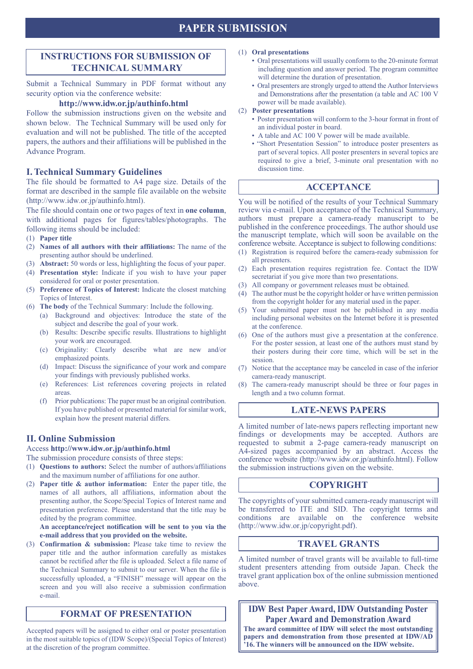## **PAPER SUBMISSION**

### **INSTRUCTIONS FOR SUBMISSION OF TECHNICAL SUMMARY**

Submit a Technical Summary in PDF format without any security option via the conference website:

### **http://www.idw.or.jp/authinfo.html**

Follow the submission instructions given on the website and shown below. The Technical Summary will be used only for evaluation and will not be published. The title of the accepted papers, the authors and their affiliations will be published in the Advance Program.

### **I. Technical Summary Guidelines**

The file should be formatted to A4 page size. Details of the format are described in the sample file available on the website (http://www.idw.or.jp/authinfo.html).

The file should contain one or two pages of text in **one column**, with additional pages for figures/tables/photographs. The following items should be included:

- (1) **Paper title**
- (2) **Names of all authors with their affiliations:** The name of the presenting author should be underlined.
- (3) **Abstract:** 50 words or less, highlighting the focus of your paper.
- (4) **Presentation style:** Indicate if you wish to have your paper considered for oral or poster presentation.
- (5) **Preference of Topics of Interest:** Indicate the closest matching Topics of Interest.
- (6) **The body** of the Technical Summary: Include the following.
	- (a) Background and objectives: Introduce the state of the subject and describe the goal of your work.
		- (b) Results: Describe specific results. Illustrations to highlight your work are encouraged.
		- (c) Originality: Clearly describe what are new and/or emphasized points.
		- (d) Impact: Discuss the significance of your work and compare your findings with previously published works.
		- (e) References: List references covering projects in related areas.
		- (f) Prior publications: The paper must be an original contribution. If you have published or presented material for similar work, explain how the present material differs.

### **II. Online Submission**

Access **http://www.idw.or.jp/authinfo.html**

The submission procedure consists of three steps:

- (1) **Questions to authors:** Select the number of authors/affiliations and the maximum number of affiliations for one author.
- (2) **Paper title & author information:** Enter the paper title, the names of all authors, all affiliations, information about the presenting author, the Scope/Special Topics of Interest name and presentation preference. Please understand that the title may be edited by the program committee.

**An acceptance/reject notification will be sent to you via the e-mail address that you provided on the website.**

(3) **Confirmation & submission:** Please take time to review the paper title and the author information carefully as mistakes cannot be rectified after the file is uploaded. Select a file name of the Technical Summary to submit to our server. When the file is successfully uploaded, a "FINISH" message will appear on the screen and you will also receive a submission confirmation e-mail.

### **FORMAT OF PRESENTATION**

Accepted papers will be assigned to either oral or poster presentation in the most suitable topics of (IDW Scope)/(Special Topics of Interest) at the discretion of the program committee.

#### (1) **Oral presentations**

- Oral presentations will usually conform to the 20-minute format including question and answer period. The program committee will determine the duration of presentation.
- Oral presenters are strongly urged to attend the Author Interviews and Demonstrations after the presentation (a table and AC 100 V power will be made available).
- (2) **Poster presentations**
	- Poster presentation will conform to the 3-hour format in front of an individual poster in board.
	- A table and AC 100 V power will be made available.
	- "Short Presentation Session" to introduce poster presenters as part of several topics. All poster presenters in several topics are required to give a brief, 3-minute oral presentation with no discussion time.

### **ACCEPTANCE**

You will be notified of the results of your Technical Summary review via e-mail. Upon acceptance of the Technical Summary, authors must prepare a camera-ready manuscript to be published in the conference proceedings. The author should use the manuscript template, which will soon be available on the conference website. Acceptance is subject to following conditions:

- (1) Registration is required before the camera-ready submission for all presenters.
- (2) Each presentation requires registration fee. Contact the IDW secretariat if you give more than two presentations.
- (3) All company or government releases must be obtained.
- (4) The author must be the copyright holder or have written permission from the copyright holder for any material used in the paper.
- (5) Your submitted paper must not be published in any media including personal websites on the Internet before it is presented at the conference.
- (6) One of the authors must give a presentation at the conference. For the poster session, at least one of the authors must stand by their posters during their core time, which will be set in the session.
- (7) Notice that the acceptance may be canceled in case of the inferior camera-ready manuscript.
- (8) The camera-ready manuscript should be three or four pages in length and a two column format.

### **LATE-NEWS PAPERS**

A limited number of late-news papers reflecting important new findings or developments may be accepted. Authors are requested to submit a 2-page camera-ready manuscript on A4-sized pages accompanied by an abstract. Access the conference website (http://www.idw.or.jp/authinfo.html). Follow the submission instructions given on the website.

### **COPYRIGHT**

The copyrights of your submitted camera-ready manuscript will be transferred to ITE and SID. The copyright terms and conditions are available on the conference website (http://www.idw.or.jp/copyright.pdf).

### **TRAVEL GRANTS**

A limited number of travel grants will be available to full-time student presenters attending from outside Japan. Check the travel grant application box of the online submission mentioned above.

**IDW Best Paper Award, IDW Outstanding Poster Paper Award and Demonstration Award**

**The award committee of IDW will select the most outstanding papers and demonstration from those presented at IDW/AD '16. The winners will be announced on the IDW website.**